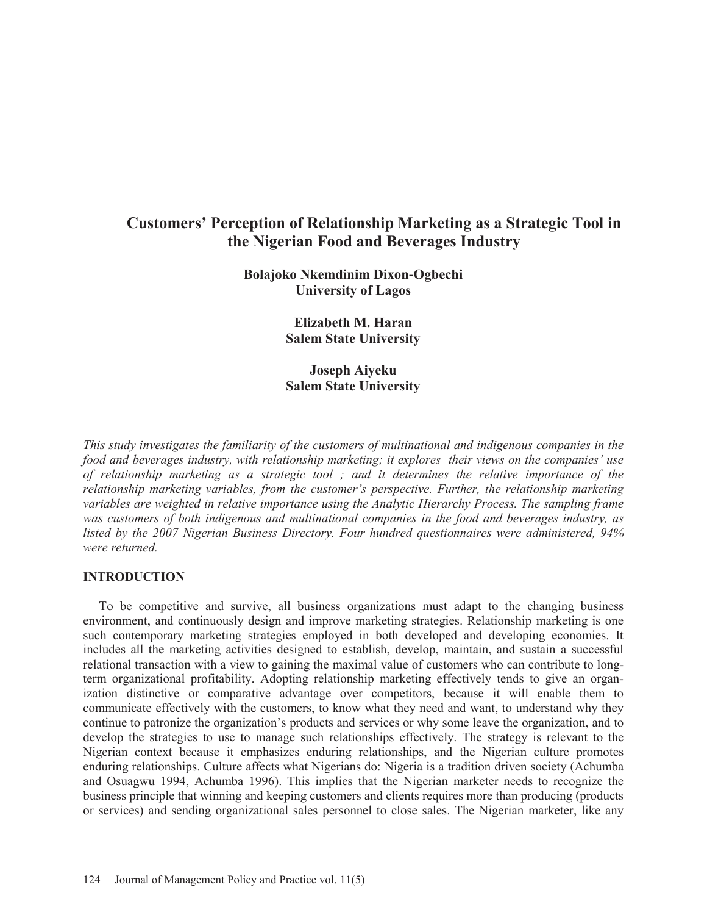# **Customers' Perception of Relationship Marketing as a Strategic Tool in the Nigerian Food and Beverages Industry**

**Bolajoko Nkemdinim Dixon-Ogbechi University of Lagos** 

> **Elizabeth M. Haran Salem State University**

> **Joseph Aiyeku Salem State University**

*This study investigates the familiarity of the customers of multinational and indigenous companies in the food and beverages industry, with relationship marketing; it explores their views on the companies' use of relationship marketing as a strategic tool ; and it determines the relative importance of the relationship marketing variables, from the customer's perspective. Further, the relationship marketing variables are weighted in relative importance using the Analytic Hierarchy Process. The sampling frame was customers of both indigenous and multinational companies in the food and beverages industry, as listed by the 2007 Nigerian Business Directory. Four hundred questionnaires were administered, 94% were returned.* 

#### **INTRODUCTION**

 To be competitive and survive, all business organizations must adapt to the changing business environment, and continuously design and improve marketing strategies. Relationship marketing is one such contemporary marketing strategies employed in both developed and developing economies. It includes all the marketing activities designed to establish, develop, maintain, and sustain a successful relational transaction with a view to gaining the maximal value of customers who can contribute to longterm organizational profitability. Adopting relationship marketing effectively tends to give an organization distinctive or comparative advantage over competitors, because it will enable them to communicate effectively with the customers, to know what they need and want, to understand why they continue to patronize the organization's products and services or why some leave the organization, and to develop the strategies to use to manage such relationships effectively. The strategy is relevant to the Nigerian context because it emphasizes enduring relationships, and the Nigerian culture promotes enduring relationships. Culture affects what Nigerians do: Nigeria is a tradition driven society (Achumba and Osuagwu 1994, Achumba 1996). This implies that the Nigerian marketer needs to recognize the business principle that winning and keeping customers and clients requires more than producing (products or services) and sending organizational sales personnel to close sales. The Nigerian marketer, like any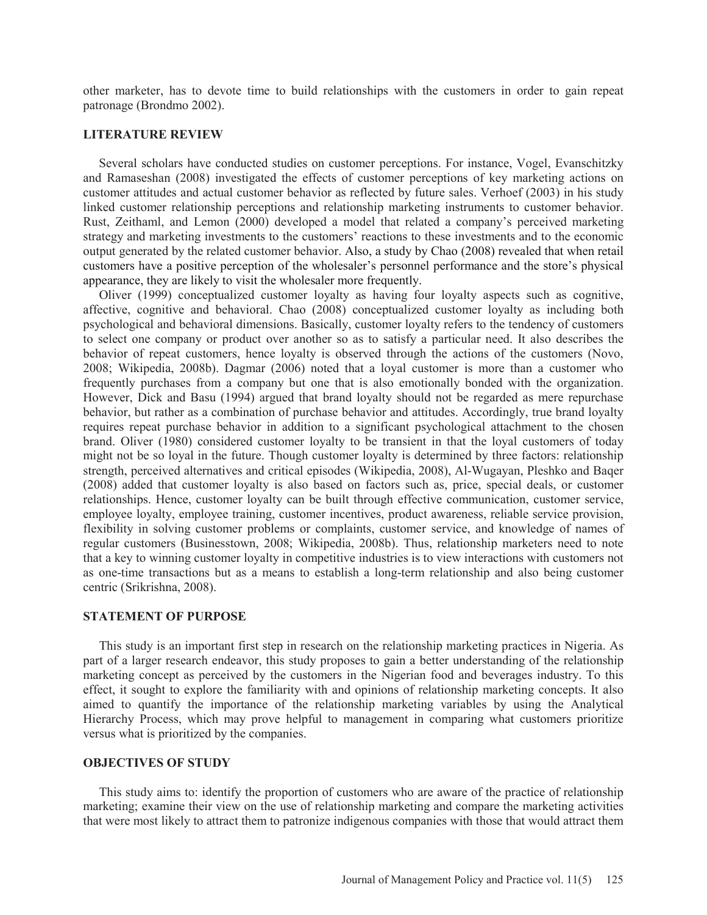other marketer, has to devote time to build relationships with the customers in order to gain repeat patronage (Brondmo 2002).

#### **LITERATURE REVIEW**

 Several scholars have conducted studies on customer perceptions. For instance, Vogel, Evanschitzky and Ramaseshan (2008) investigated the effects of customer perceptions of key marketing actions on customer attitudes and actual customer behavior as reflected by future sales. Verhoef (2003) in his study linked customer relationship perceptions and relationship marketing instruments to customer behavior. Rust, Zeithaml, and Lemon (2000) developed a model that related a company's perceived marketing strategy and marketing investments to the customers' reactions to these investments and to the economic output generated by the related customer behavior. Also, a study by Chao (2008) revealed that when retail customers have a positive perception of the wholesaler's personnel performance and the store's physical appearance, they are likely to visit the wholesaler more frequently.

 Oliver (1999) conceptualized customer loyalty as having four loyalty aspects such as cognitive, affective, cognitive and behavioral. Chao (2008) conceptualized customer loyalty as including both psychological and behavioral dimensions. Basically, customer loyalty refers to the tendency of customers to select one company or product over another so as to satisfy a particular need. It also describes the behavior of repeat customers, hence loyalty is observed through the actions of the customers (Novo, 2008; Wikipedia, 2008b). Dagmar (2006) noted that a loyal customer is more than a customer who frequently purchases from a company but one that is also emotionally bonded with the organization. However, Dick and Basu (1994) argued that brand loyalty should not be regarded as mere repurchase behavior, but rather as a combination of purchase behavior and attitudes. Accordingly, true brand loyalty requires repeat purchase behavior in addition to a significant psychological attachment to the chosen brand. Oliver (1980) considered customer loyalty to be transient in that the loyal customers of today might not be so loyal in the future. Though customer loyalty is determined by three factors: relationship strength, perceived alternatives and critical episodes (Wikipedia, 2008), Al-Wugayan, Pleshko and Baqer (2008) added that customer loyalty is also based on factors such as, price, special deals, or customer relationships. Hence, customer loyalty can be built through effective communication, customer service, employee loyalty, employee training, customer incentives, product awareness, reliable service provision, flexibility in solving customer problems or complaints, customer service, and knowledge of names of regular customers (Businesstown, 2008; Wikipedia, 2008b). Thus, relationship marketers need to note that a key to winning customer loyalty in competitive industries is to view interactions with customers not as one-time transactions but as a means to establish a long-term relationship and also being customer centric (Srikrishna, 2008).

#### **STATEMENT OF PURPOSE**

 This study is an important first step in research on the relationship marketing practices in Nigeria. As part of a larger research endeavor, this study proposes to gain a better understanding of the relationship marketing concept as perceived by the customers in the Nigerian food and beverages industry. To this effect, it sought to explore the familiarity with and opinions of relationship marketing concepts. It also aimed to quantify the importance of the relationship marketing variables by using the Analytical Hierarchy Process, which may prove helpful to management in comparing what customers prioritize versus what is prioritized by the companies.

#### **OBJECTIVES OF STUDY**

 This study aims to: identify the proportion of customers who are aware of the practice of relationship marketing; examine their view on the use of relationship marketing and compare the marketing activities that were most likely to attract them to patronize indigenous companies with those that would attract them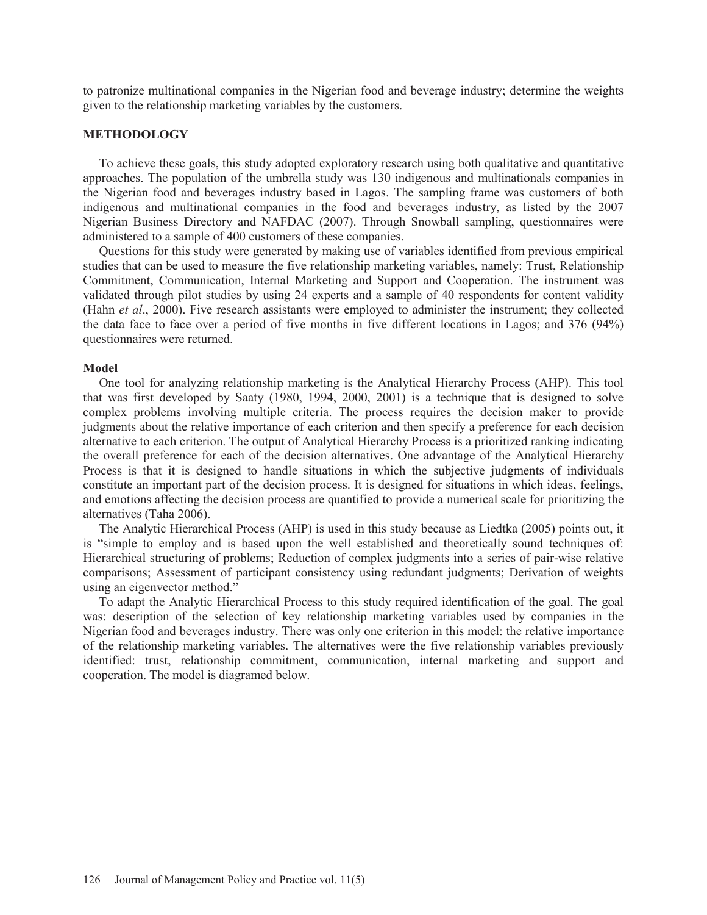to patronize multinational companies in the Nigerian food and beverage industry; determine the weights given to the relationship marketing variables by the customers.

#### **METHODOLOGY**

 To achieve these goals, this study adopted exploratory research using both qualitative and quantitative approaches. The population of the umbrella study was 130 indigenous and multinationals companies in the Nigerian food and beverages industry based in Lagos. The sampling frame was customers of both indigenous and multinational companies in the food and beverages industry, as listed by the 2007 Nigerian Business Directory and NAFDAC (2007). Through Snowball sampling, questionnaires were administered to a sample of 400 customers of these companies.

 Questions for this study were generated by making use of variables identified from previous empirical studies that can be used to measure the five relationship marketing variables, namely: Trust, Relationship Commitment, Communication, Internal Marketing and Support and Cooperation. The instrument was validated through pilot studies by using 24 experts and a sample of 40 respondents for content validity (Hahn *et al*., 2000). Five research assistants were employed to administer the instrument; they collected the data face to face over a period of five months in five different locations in Lagos; and 376 (94%) questionnaires were returned.

#### **Model**

 One tool for analyzing relationship marketing is the Analytical Hierarchy Process (AHP). This tool that was first developed by Saaty (1980, 1994, 2000, 2001) is a technique that is designed to solve complex problems involving multiple criteria. The process requires the decision maker to provide judgments about the relative importance of each criterion and then specify a preference for each decision alternative to each criterion. The output of Analytical Hierarchy Process is a prioritized ranking indicating the overall preference for each of the decision alternatives. One advantage of the Analytical Hierarchy Process is that it is designed to handle situations in which the subjective judgments of individuals constitute an important part of the decision process. It is designed for situations in which ideas, feelings, and emotions affecting the decision process are quantified to provide a numerical scale for prioritizing the alternatives (Taha 2006).

 The Analytic Hierarchical Process (AHP) is used in this study because as Liedtka (2005) points out, it is "simple to employ and is based upon the well established and theoretically sound techniques of: Hierarchical structuring of problems; Reduction of complex judgments into a series of pair-wise relative comparisons; Assessment of participant consistency using redundant judgments; Derivation of weights using an eigenvector method."

 To adapt the Analytic Hierarchical Process to this study required identification of the goal. The goal was: description of the selection of key relationship marketing variables used by companies in the Nigerian food and beverages industry. There was only one criterion in this model: the relative importance of the relationship marketing variables. The alternatives were the five relationship variables previously identified: trust, relationship commitment, communication, internal marketing and support and cooperation. The model is diagramed below.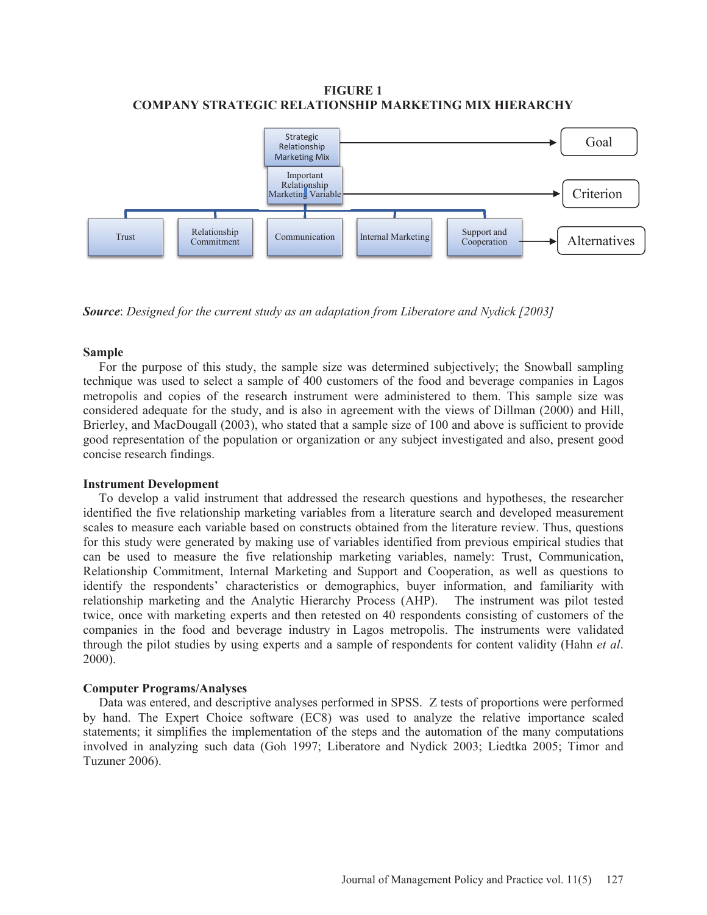## **FIGURE 1 COMPANY STRATEGIC RELATIONSHIP MARKETING MIX HIERARCHY**



*Source*: *Designed for the current study as an adaptation from Liberatore and Nydick [2003]* 

#### **Sample**

 For the purpose of this study, the sample size was determined subjectively; the Snowball sampling technique was used to select a sample of 400 customers of the food and beverage companies in Lagos metropolis and copies of the research instrument were administered to them. This sample size was considered adequate for the study, and is also in agreement with the views of Dillman (2000) and Hill, Brierley, and MacDougall (2003), who stated that a sample size of 100 and above is sufficient to provide good representation of the population or organization or any subject investigated and also, present good concise research findings.

#### **Instrument Development**

 To develop a valid instrument that addressed the research questions and hypotheses, the researcher identified the five relationship marketing variables from a literature search and developed measurement scales to measure each variable based on constructs obtained from the literature review. Thus, questions for this study were generated by making use of variables identified from previous empirical studies that can be used to measure the five relationship marketing variables, namely: Trust, Communication, Relationship Commitment, Internal Marketing and Support and Cooperation, as well as questions to identify the respondents' characteristics or demographics, buyer information, and familiarity with relationship marketing and the Analytic Hierarchy Process (AHP). The instrument was pilot tested twice, once with marketing experts and then retested on 40 respondents consisting of customers of the companies in the food and beverage industry in Lagos metropolis. The instruments were validated through the pilot studies by using experts and a sample of respondents for content validity (Hahn *et al*. 2000).

## **Computer Programs/Analyses**

 Data was entered, and descriptive analyses performed in SPSS. Z tests of proportions were performed by hand. The Expert Choice software (EC8) was used to analyze the relative importance scaled statements; it simplifies the implementation of the steps and the automation of the many computations involved in analyzing such data (Goh 1997; Liberatore and Nydick 2003; Liedtka 2005; Timor and Tuzuner 2006).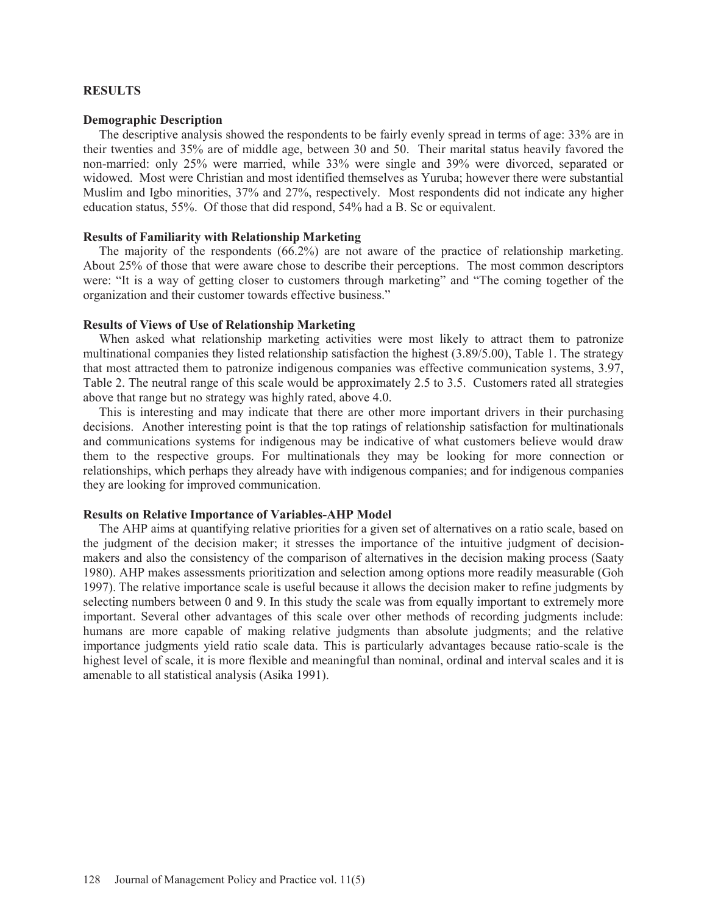#### **RESULTS**

#### **Demographic Description**

 The descriptive analysis showed the respondents to be fairly evenly spread in terms of age: 33% are in their twenties and 35% are of middle age, between 30 and 50. Their marital status heavily favored the non-married: only 25% were married, while 33% were single and 39% were divorced, separated or widowed. Most were Christian and most identified themselves as Yuruba; however there were substantial Muslim and Igbo minorities, 37% and 27%, respectively. Most respondents did not indicate any higher education status, 55%. Of those that did respond, 54% had a B. Sc or equivalent.

#### **Results of Familiarity with Relationship Marketing**

 The majority of the respondents (66.2%) are not aware of the practice of relationship marketing. About 25% of those that were aware chose to describe their perceptions. The most common descriptors were: "It is a way of getting closer to customers through marketing" and "The coming together of the organization and their customer towards effective business."

## **Results of Views of Use of Relationship Marketing**

 When asked what relationship marketing activities were most likely to attract them to patronize multinational companies they listed relationship satisfaction the highest (3.89/5.00), Table 1. The strategy that most attracted them to patronize indigenous companies was effective communication systems, 3.97, Table 2. The neutral range of this scale would be approximately 2.5 to 3.5. Customers rated all strategies above that range but no strategy was highly rated, above 4.0.

 This is interesting and may indicate that there are other more important drivers in their purchasing decisions. Another interesting point is that the top ratings of relationship satisfaction for multinationals and communications systems for indigenous may be indicative of what customers believe would draw them to the respective groups. For multinationals they may be looking for more connection or relationships, which perhaps they already have with indigenous companies; and for indigenous companies they are looking for improved communication.

#### **Results on Relative Importance of Variables-AHP Model**

 The AHP aims at quantifying relative priorities for a given set of alternatives on a ratio scale, based on the judgment of the decision maker; it stresses the importance of the intuitive judgment of decisionmakers and also the consistency of the comparison of alternatives in the decision making process (Saaty 1980). AHP makes assessments prioritization and selection among options more readily measurable (Goh 1997). The relative importance scale is useful because it allows the decision maker to refine judgments by selecting numbers between 0 and 9. In this study the scale was from equally important to extremely more important. Several other advantages of this scale over other methods of recording judgments include: humans are more capable of making relative judgments than absolute judgments; and the relative importance judgments yield ratio scale data. This is particularly advantages because ratio-scale is the highest level of scale, it is more flexible and meaningful than nominal, ordinal and interval scales and it is amenable to all statistical analysis (Asika 1991).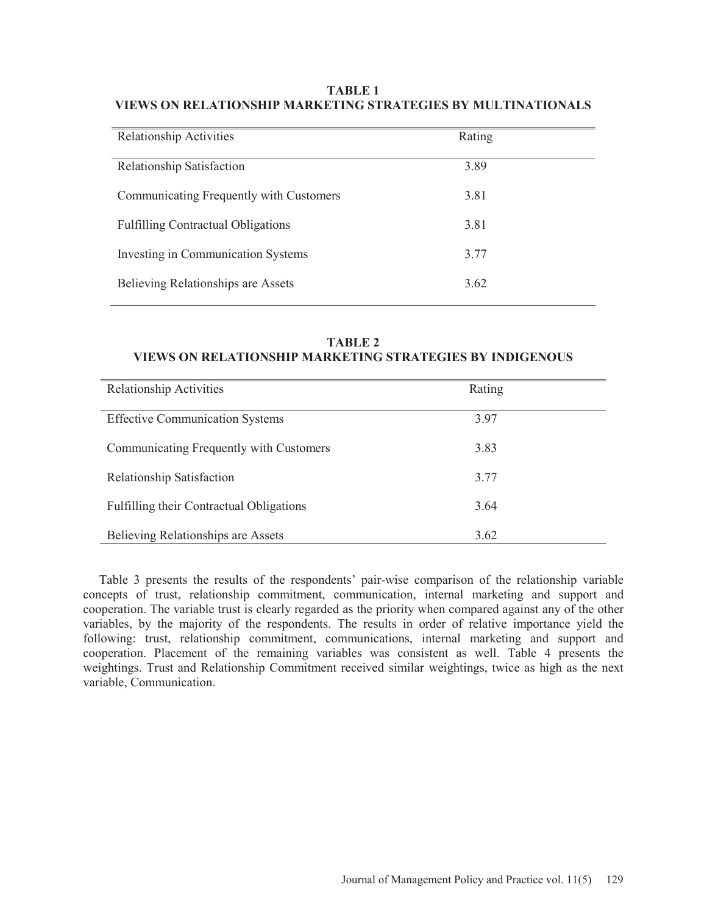## **TABLE 1 VIEWS ON RELATIONSHIP MARKETING STRATEGIES BY MULTINATIONALS**

| <b>Relationship Activities</b>            | Rating |
|-------------------------------------------|--------|
| <b>Relationship Satisfaction</b>          | 3.89   |
| Communicating Frequently with Customers   | 3.81   |
| <b>Fulfilling Contractual Obligations</b> | 3.81   |
| Investing in Communication Systems        | 3.77   |
| <b>Believing Relationships are Assets</b> | 3.62   |

## **TABLE 2 VIEWS ON RELATIONSHIP MARKETING STRATEGIES BY INDIGENOUS**

| <b>Relationship Activities</b>                  | Rating |  |
|-------------------------------------------------|--------|--|
| <b>Effective Communication Systems</b>          | 3.97   |  |
| Communicating Frequently with Customers         | 3.83   |  |
| <b>Relationship Satisfaction</b>                | 3.77   |  |
| <b>Fulfilling their Contractual Obligations</b> | 3.64   |  |
| Believing Relationships are Assets              | 3.62   |  |

 Table 3 presents the results of the respondents' pair-wise comparison of the relationship variable concepts of trust, relationship commitment, communication, internal marketing and support and cooperation. The variable trust is clearly regarded as the priority when compared against any of the other variables, by the majority of the respondents. The results in order of relative importance yield the following: trust, relationship commitment, communications, internal marketing and support and cooperation. Placement of the remaining variables was consistent as well. Table 4 presents the weightings. Trust and Relationship Commitment received similar weightings, twice as high as the next variable, Communication.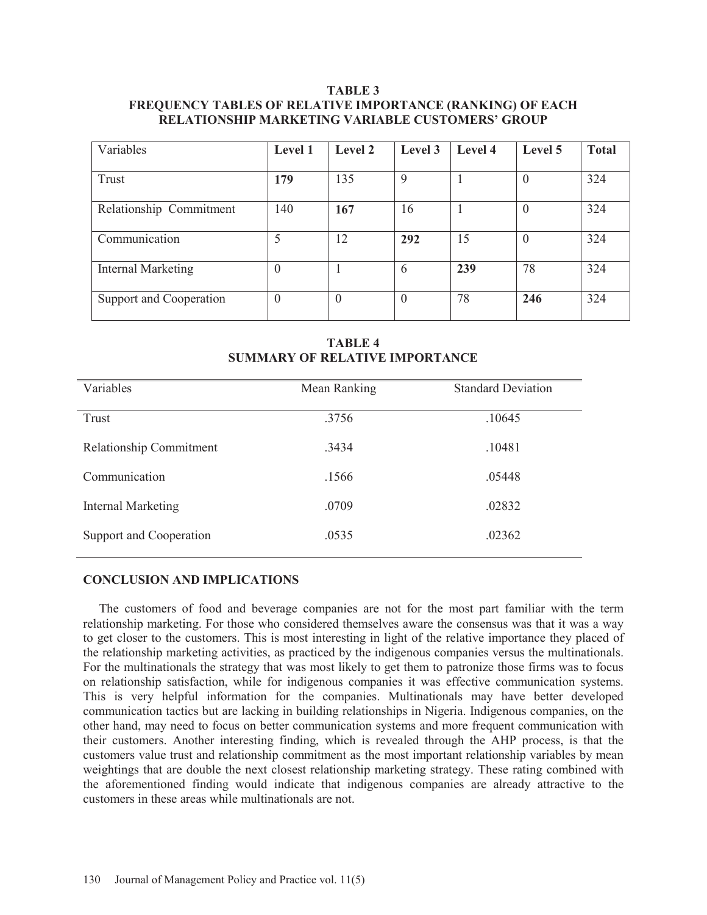## **TABLE 3 FREQUENCY TABLES OF RELATIVE IMPORTANCE (RANKING) OF EACH RELATIONSHIP MARKETING VARIABLE CUSTOMERS' GROUP**

| Variables                 | Level 1  | Level 2        | Level 3     | Level 4 | Level 5  | <b>Total</b> |
|---------------------------|----------|----------------|-------------|---------|----------|--------------|
|                           |          |                |             |         |          |              |
| Trust                     | 179      | 135            | $\mathbf Q$ |         | $\theta$ | 324          |
|                           |          |                |             |         |          |              |
| Relationship Commitment   | 140      | 167            | 16          |         | $\theta$ | 324          |
|                           |          |                |             |         |          |              |
| Communication             | 5        | 12             | 292         | 15      | $\theta$ | 324          |
|                           |          |                |             |         |          |              |
| <b>Internal Marketing</b> | $\Omega$ |                | 6           | 239     | 78       | 324          |
|                           |          |                |             |         |          |              |
| Support and Cooperation   | $\Omega$ | $\overline{0}$ | $\theta$    | 78      | 246      | 324          |
|                           |          |                |             |         |          |              |

**TABLE 4 SUMMARY OF RELATIVE IMPORTANCE** 

| Variables               | Mean Ranking | <b>Standard Deviation</b> |
|-------------------------|--------------|---------------------------|
| Trust                   | .3756        | .10645                    |
| Relationship Commitment | .3434        | .10481                    |
| Communication           | .1566        | .05448                    |
| Internal Marketing      | .0709        | .02832                    |
| Support and Cooperation | .0535        | .02362                    |

#### **CONCLUSION AND IMPLICATIONS**

 The customers of food and beverage companies are not for the most part familiar with the term relationship marketing. For those who considered themselves aware the consensus was that it was a way to get closer to the customers. This is most interesting in light of the relative importance they placed of the relationship marketing activities, as practiced by the indigenous companies versus the multinationals. For the multinationals the strategy that was most likely to get them to patronize those firms was to focus on relationship satisfaction, while for indigenous companies it was effective communication systems. This is very helpful information for the companies. Multinationals may have better developed communication tactics but are lacking in building relationships in Nigeria. Indigenous companies, on the other hand, may need to focus on better communication systems and more frequent communication with their customers. Another interesting finding, which is revealed through the AHP process, is that the customers value trust and relationship commitment as the most important relationship variables by mean weightings that are double the next closest relationship marketing strategy. These rating combined with the aforementioned finding would indicate that indigenous companies are already attractive to the customers in these areas while multinationals are not.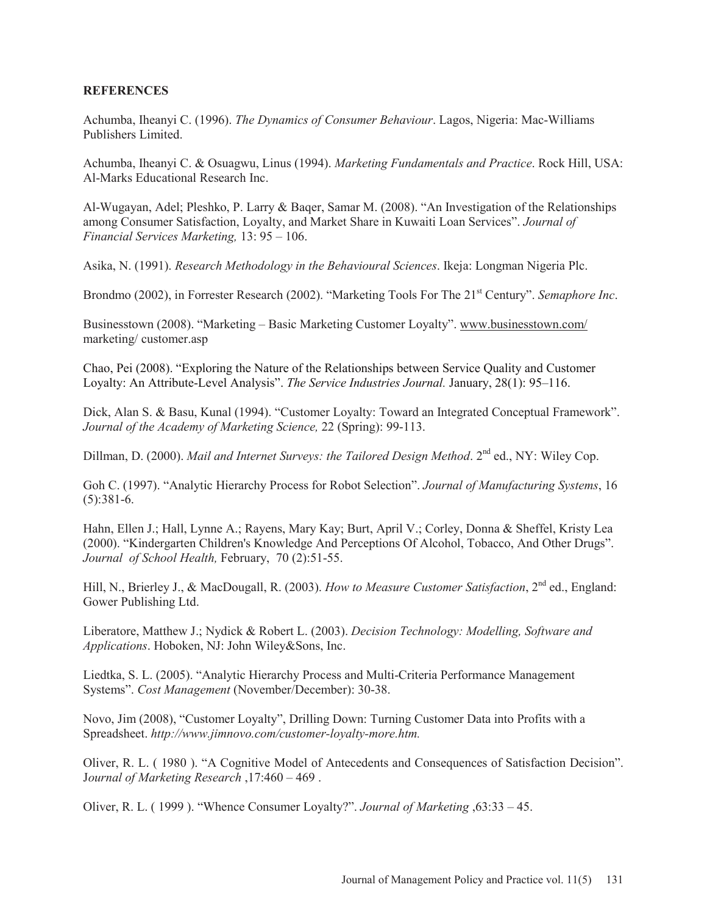## **REFERENCES**

Achumba, Iheanyi C. (1996). *The Dynamics of Consumer Behaviour*. Lagos, Nigeria: Mac-Williams Publishers Limited.

Achumba, Iheanyi C. & Osuagwu, Linus (1994). *Marketing Fundamentals and Practice*. Rock Hill, USA: Al-Marks Educational Research Inc.

Al-Wugayan, Adel; Pleshko, P. Larry & Baqer, Samar M. (2008). "An Investigation of the Relationships among Consumer Satisfaction, Loyalty, and Market Share in Kuwaiti Loan Services". *Journal of Financial Services Marketing,* 13: 95 – 106.

Asika, N. (1991). *Research Methodology in the Behavioural Sciences*. Ikeja: Longman Nigeria Plc.

Brondmo (2002), in Forrester Research (2002). "Marketing Tools For The 21st Century". *Semaphore Inc*.

Businesstown (2008). "Marketing – Basic Marketing Customer Loyalty". www.businesstown.com/ marketing/ customer.asp

Chao, Pei (2008). "Exploring the Nature of the Relationships between Service Quality and Customer Loyalty: An Attribute-Level Analysis". *The Service Industries Journal.* January, 28(1): 95–116.

Dick, Alan S. & Basu, Kunal (1994). "Customer Loyalty: Toward an Integrated Conceptual Framework". *Journal of the Academy of Marketing Science,* 22 (Spring): 99-113.

Dillman, D. (2000). *Mail and Internet Surveys: the Tailored Design Method*. 2<sup>nd</sup> ed., NY: Wiley Cop.

Goh C. (1997). "Analytic Hierarchy Process for Robot Selection". *Journal of Manufacturing Systems*, 16  $(5):381-6.$ 

Hahn, Ellen J.; Hall, Lynne A.; Rayens, Mary Kay; Burt, April V.; Corley, Donna & Sheffel, Kristy Lea (2000). "Kindergarten Children's Knowledge And Perceptions Of Alcohol, Tobacco, And Other Drugs". *Journal of School Health,* February, 70 (2):51-55.

Hill, N., Brierley J., & MacDougall, R. (2003). *How to Measure Customer Satisfaction*, 2<sup>nd</sup> ed., England: Gower Publishing Ltd.

Liberatore, Matthew J.; Nydick & Robert L. (2003). *Decision Technology: Modelling, Software and Applications*. Hoboken, NJ: John Wiley&Sons, Inc.

Liedtka, S. L. (2005). "Analytic Hierarchy Process and Multi-Criteria Performance Management Systems". *Cost Management* (November/December): 30-38.

Novo, Jim (2008), "Customer Loyalty", Drilling Down: Turning Customer Data into Profits with a Spreadsheet. *http://www.jimnovo.com/customer-loyalty-more.htm.* 

Oliver, R. L. ( 1980 ). "A Cognitive Model of Antecedents and Consequences of Satisfaction Decision". J*ournal of Marketing Research* ,17:460 – 469 .

Oliver, R. L. ( 1999 ). "Whence Consumer Loyalty?". *Journal of Marketing* ,63:33 – 45.